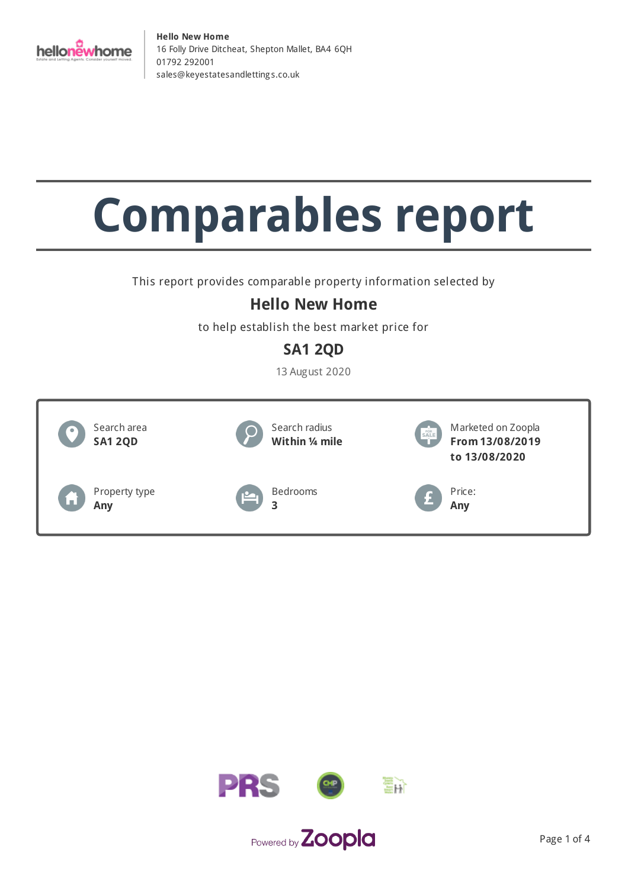

# **Comparables report**

This report provides comparable property information selected by

## **Hello New Home**

to help establish the best market price for

## **SA1 2QD**

13 August 2020



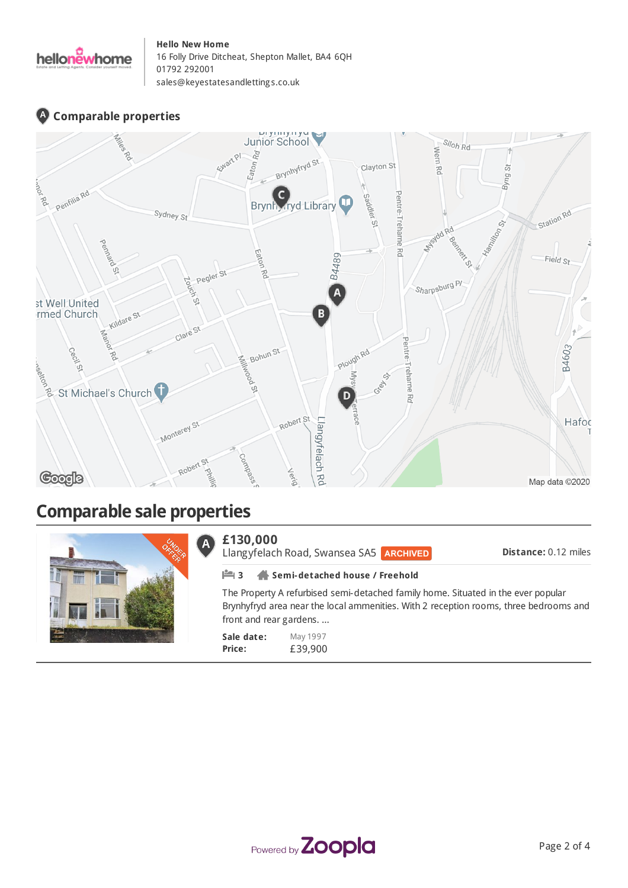

## **Comparable properties**



## **Comparable sale properties**

|  | £130,000                                                                                                                                                                                              | Llangyfelach Road, Swansea SA5 ARCHIVED | <b>Distance: 0.12 miles</b> |
|--|-------------------------------------------------------------------------------------------------------------------------------------------------------------------------------------------------------|-----------------------------------------|-----------------------------|
|  | Semi-detached house / Freehold                                                                                                                                                                        |                                         |                             |
|  | The Property A refurbised semi-detached family home. Situated in the ever popular<br>Brynhyfryd area near the local ammenities. With 2 reception rooms, three bedrooms and<br>front and rear gardens. |                                         |                             |
|  | Sale date:<br>Price:                                                                                                                                                                                  | May 1997<br>£39,900                     |                             |

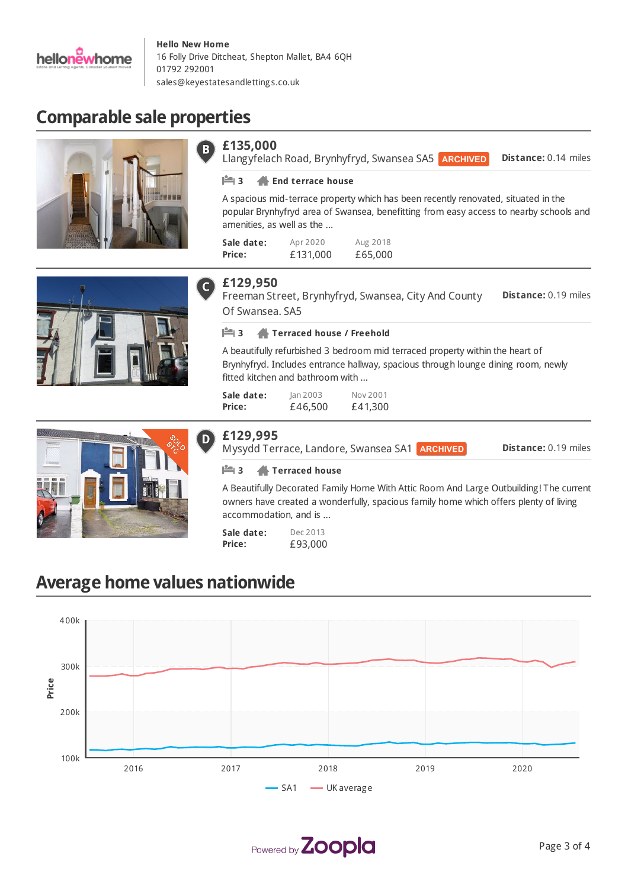

**£135,000**

# **Comparable sale properties**







### **£129,950**

**Sale date: Price:**

**Distance:** 0.19 miles Freeman Street, Brynhyfryd, Swansea, City And County Of Swansea. SA5

Aug 2018 £65,000

A spacious mid-terrace property which has been recently renovated, situated in the popular Brynhyfryd area of Swansea, benefitting from easy access to nearby schools and

Llangyfelach Road, Brynhyfryd, Swansea SA5

#### **3 Terraced house / Freehold**

Apr 2020 £131,000

**3 End terrace house**

amenities, as well as the ...

A beautifully refurbished 3 bedroom mid terraced property within the heart of Brynhyfryd. Includes entrance hallway, spacious through lounge dining room, newly fitted kitchen and bathroom with ...

| Sale date: | lan 2003 | Nov 2001 |
|------------|----------|----------|
| Price:     | £46,500  | £41,300  |

**£129,995**

Mysydd Terrace, Landore, Swansea SA1 **ARCHIVED** 

**Distance:** 0.19 miles

**Distance:** 0.14 miles

#### **3 Terraced house**

A Beautifully Decorated Family Home With Attic Room And Large Outbuilding! The current owners have created a wonderfully, spacious family home which offers plenty of living accommodation, and is ...

**Sale date: Price:** Dec 2013 £93,000

## **Average home values nationwide**